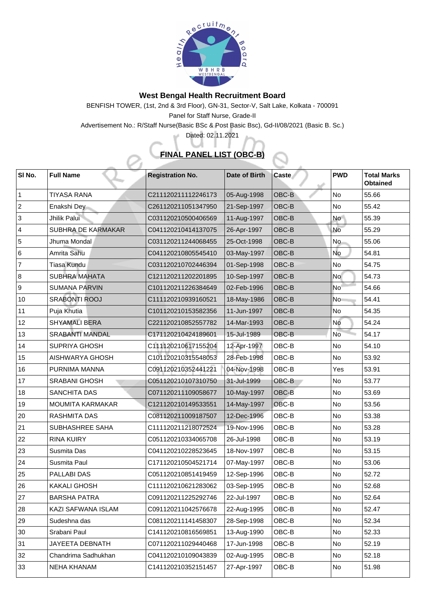

## **West Bengal Health Recruitment Board**

BENFISH TOWER, (1st, 2nd & 3rd Floor), GN-31, Sector-V, Salt Lake, Kolkata - 700091 Panel for Staff Nurse, Grade-II

Advertisement No.: R/Staff Nurse(Basic BSc & Post Basic Bsc), Gd-II/08/2021 (Basic B. Sc.)

Dated: 02.11.2021

## **FINAL PANEL LIST (OBC-B)**

| $\vert$ SI No. | <b>Full Name</b>          | <b>Registration No.</b> | Date of Birth | <b>Caste</b>                | <b>PWD</b> | <b>Total Marks</b><br><b>Obtained</b> |
|----------------|---------------------------|-------------------------|---------------|-----------------------------|------------|---------------------------------------|
|                | <b>TIYASA RANA</b>        | C211120211112246173     | 05-Aug-1998   | OBC-B                       | <b>No</b>  | 55.66                                 |
| $ 2\rangle$    | Enakshi Dey               | C261120211051347950     | 21-Sep-1997   | <b>OBC-B</b>                | <b>No</b>  | 55.42                                 |
| 3              | Jhilik Palui              | C031120210500406569     | 11-Aug-1997   | <b>OBC-B</b>                | <b>No</b>  | 55.39                                 |
| $ 4\rangle$    | <b>SUBHRA DE KARMAKAR</b> | C041120210414137075     | 26-Apr-1997   | <b>OBC-B</b>                | <b>No</b>  | 55.29                                 |
| 5              | Jhuma Mondal              | C031120211244068455     | 25-Oct-1998   | <b>OBC-B</b>                | <b>No</b>  | 55.06                                 |
| 6              | Amrita Sahu               | C041120210805545410     | 03-May-1997   | <b>OBC-B</b>                | <b>No</b>  | 54.81                                 |
| 7              | Tiasa Kundu               | C031120210702446394     | 01-Sep-1998   | <b>OBC-B</b>                | <b>No</b>  | 54.75                                 |
| 8              | <b>SUBHRA MAHATA</b>      | C121120211202201895     | 10-Sep-1997   | <b>OBC-B</b>                | <b>No</b>  | 54.73                                 |
| 9              | <b>SUMANA PARVIN</b>      | C101120211226384649     | 02-Feb-1996   | <b>OBC-B</b>                | <b>No</b>  | 54.66                                 |
| $ 10\rangle$   | <b>SRABONTI ROOJ</b>      | C111120210939160521     | 18-May-1986   | <b>OBC-B</b>                | <b>No</b>  | 54.41                                 |
| 11             | Puja Khutia               | C101120210153582356     | 11-Jun-1997   | <b>OBC-B</b>                | No         | 54.35                                 |
| 12             | <b>SHYAMALI BERA</b>      | C221120210852557782     | 14-Mar-1993   | OBC-B                       | No         | 54.24                                 |
| 13             | <b>SRABANTI MANDAL</b>    | C171120210424189601     | 15-Jul-1989   | <b>OBC-B</b>                | <b>No</b>  | 54.17                                 |
| 14             | <b>SUPRIYA GHOSH</b>      | C111120210617155204     | 12-Apr-1997   | OBC-B                       | <b>No</b>  | 54.10                                 |
| 15             | <b>AISHWARYA GHOSH</b>    | C101120210315548053     | 28-Feb-1998   | OBC-B                       | <b>No</b>  | 53.92                                 |
| 16             | PURNIMA MANNA             | C091120210352441221     | 04-Nov-1998   | OBC-B                       | Yes        | 53.91                                 |
| 17             | <b>SRABANI GHOSH</b>      | C051120210107310750     | 31-Jul-1999   | <b>OBC-B</b>                | No         | 53.77                                 |
| 18             | <b>SANCHITA DAS</b>       | C071120211109058677     | 10-May-1997   | <b>OBC-B</b>                | <b>No</b>  | 53.69                                 |
| 19             | <b>MOUMITA KARMAKAR</b>   | C121120210149533551     | 14-May-1997   | $\overline{\textsf{OBC-B}}$ | <b>No</b>  | 53.56                                 |
| 20             | <b>RASHMITA DAS</b>       | C081120211009187507     | 12-Dec-1996   | OBC-B                       | <b>No</b>  | 53.38                                 |
| 21             | <b>SUBHASHREE SAHA</b>    | C111120211218072524     | 19-Nov-1996   | OBC-B                       | No         | 53.28                                 |
| $ 22\rangle$   | <b>RINA KUIRY</b>         | C051120210334065708     | 26-Jul-1998   | OBC-B                       | <b>No</b>  | 53.19                                 |
| $ 23\rangle$   | <b>Susmita Das</b>        | C041120210228523645     | 18-Nov-1997   | OBC-B                       | <b>No</b>  | 53.15                                 |
| 24             | <b>Susmita Paul</b>       | C171120210504521714     | 07-May-1997   | OBC-B                       | No         | 53.06                                 |
| 25             | <b>PALLABI DAS</b>        | C051120210851419459     | 12-Sep-1996   | OBC-B                       | No         | 52.72                                 |
| 26             | <b>KAKALI GHOSH</b>       | C111120210621283062     | 03-Sep-1995   | OBC-B                       | <b>No</b>  | 52.68                                 |
| 27             | <b>BARSHA PATRA</b>       | C091120211225292746     | 22-Jul-1997   | OBC-B                       | No         | 52.64                                 |
| 28             | <b>KAZI SAFWANA ISLAM</b> | C091120211042576678     | 22-Aug-1995   | OBC-B                       | <b>No</b>  | 52.47                                 |
| 29             | Sudeshna das              | C081120211141458307     | 28-Sep-1998   | OBC-B                       | No         | 52.34                                 |
| $ 30\rangle$   | Srabani Paul              | C141120210816569851     | 13-Aug-1990   | OBC-B                       | No         | 52.33                                 |
| 31             | <b>JAYEETA DEBNATH</b>    | C071120211029440468     | 17-Jun-1998   | OBC-B                       | No         | 52.19                                 |
| 32             | Chandrima Sadhukhan       | C041120210109043839     | 02-Aug-1995   | OBC-B                       | No         | 52.18                                 |
| 33             | <b>NEHA KHANAM</b>        | C141120210352151457     | 27-Apr-1997   | OBC-B                       | No         | 51.98                                 |